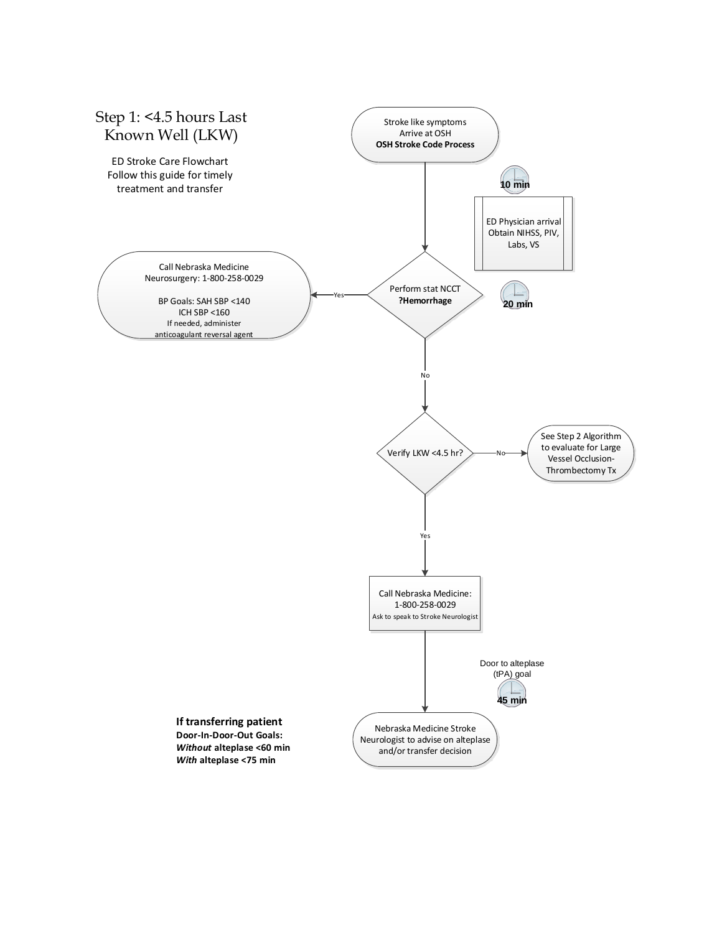